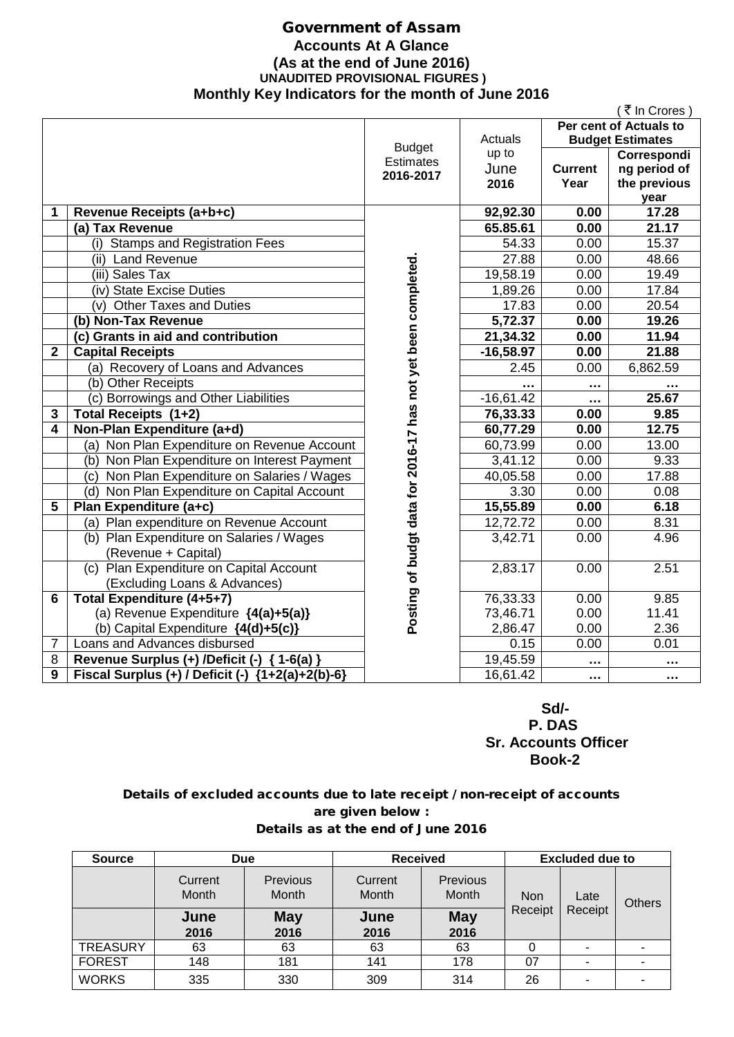# Government of Assam **Accounts At A Glance (As at the end of June 2016) UNAUDITED PROVISIONAL FIGURES ) Monthly Key Indicators for the month of June 2016**

|              |                                                    |                                                               |                       |                | ( ₹ In Crores )         |
|--------------|----------------------------------------------------|---------------------------------------------------------------|-----------------------|----------------|-------------------------|
|              |                                                    |                                                               |                       |                | Per cent of Actuals to  |
|              |                                                    | <b>Budget</b>                                                 | Actuals               |                | <b>Budget Estimates</b> |
|              |                                                    | <b>Estimates</b>                                              | up to                 |                | Correspondi             |
|              |                                                    | 2016-2017                                                     | June                  | <b>Current</b> | ng period of            |
|              |                                                    |                                                               | 2016                  | Year           | the previous            |
|              |                                                    |                                                               |                       |                | year                    |
| 1            | Revenue Receipts (a+b+c)                           |                                                               | 92,92.30              | 0.00           | 17.28                   |
|              | (a) Tax Revenue                                    |                                                               | 65.85.61              | 0.00           | 21.17                   |
|              | (i) Stamps and Registration Fees                   |                                                               | 54.33                 | 0.00           | 15.37                   |
|              | (ii) Land Revenue                                  |                                                               | 27.88                 | 0.00           | 48.66                   |
|              | (iii) Sales Tax                                    |                                                               | 19,58.19              | 0.00           | 19.49                   |
|              | (iv) State Excise Duties                           |                                                               | 1,89.26               | 0.00           | 17.84                   |
|              | (v) Other Taxes and Duties                         |                                                               | 17.83                 | 0.00           | 20.54                   |
|              | (b) Non-Tax Revenue                                |                                                               | 5,72.37               | 0.00           | 19.26                   |
|              | (c) Grants in aid and contribution                 |                                                               | 21,34.32              | 0.00           | 11.94                   |
| $\mathbf{2}$ | <b>Capital Receipts</b>                            |                                                               | $-16,58.97$           | 0.00           | 21.88                   |
|              | (a) Recovery of Loans and Advances                 |                                                               | 2.45                  | 0.00           | 6,862.59                |
|              | (b) Other Receipts                                 |                                                               |                       |                |                         |
|              | (c) Borrowings and Other Liabilities               |                                                               | $-16,61.42$           |                | 25.67                   |
| 3            | Total Receipts (1+2)                               | Posting of budgt data for 2016-17 has not yet been completed. | 76,33.33              | 0.00           | 9.85                    |
| 4            | Non-Plan Expenditure (a+d)                         |                                                               | 60,77.29              | 0.00           | 12.75                   |
|              | (a) Non Plan Expenditure on Revenue Account        |                                                               | 60,73.99              | 0.00           | 13.00                   |
|              | (b) Non Plan Expenditure on Interest Payment       |                                                               | 3,41.12               | 0.00           | 9.33                    |
|              | (c) Non Plan Expenditure on Salaries / Wages       |                                                               | 40,05.58              | 0.00           | 17.88                   |
|              | (d) Non Plan Expenditure on Capital Account        |                                                               | 3.30                  | 0.00           | 0.08                    |
| 5            | Plan Expenditure (a+c)                             |                                                               | 15,55.89              | 0.00           | 6.18                    |
|              | (a) Plan expenditure on Revenue Account            |                                                               | 12,72.72              | 0.00           | 8.31                    |
|              | (b) Plan Expenditure on Salaries / Wages           |                                                               | 3,42.71               | 0.00           | 4.96                    |
|              | (Revenue + Capital)                                |                                                               |                       |                |                         |
|              | (c) Plan Expenditure on Capital Account            |                                                               | 2,83.17               | 0.00           | 2.51                    |
|              | (Excluding Loans & Advances)                       |                                                               |                       |                |                         |
| 6            | <b>Total Expenditure (4+5+7)</b>                   |                                                               | 76,33.33              | 0.00           | 9.85                    |
|              | (a) Revenue Expenditure {4(a)+5(a)}                |                                                               | 73,46.71              | 0.00           | 11.41                   |
|              | (b) Capital Expenditure {4(d)+5(c)}                |                                                               | 2,86.47               | 0.00           | 2.36                    |
| 7            | Loans and Advances disbursed                       |                                                               | 0.15                  | 0.00           | 0.01                    |
| 8            | Revenue Surplus (+) /Deficit (-) { 1-6(a) }        |                                                               | $19,45.\overline{59}$ | .              | .                       |
| 9            | Fiscal Surplus (+) / Deficit (-) ${1+2(a)+2(b)-6}$ |                                                               | 16,61.42              | $\cdots$       |                         |

# **Sd/- P. DAS Sr. Accounts Officer Book-2**

# Details of excluded accounts due to late receipt / non-receipt of accounts are given below : Details as at the end of June 2016

| <b>Source</b>   | <b>Due</b>       |                                 | <b>Received</b>  |                                 | <b>Excluded due to</b> |                 |               |
|-----------------|------------------|---------------------------------|------------------|---------------------------------|------------------------|-----------------|---------------|
|                 | Current<br>Month | <b>Previous</b><br><b>Month</b> | Current<br>Month | <b>Previous</b><br><b>Month</b> | <b>Non</b><br>Receipt  | Late<br>Receipt | <b>Others</b> |
|                 | June<br>2016     | <b>May</b><br>2016              | June<br>2016     | May<br>2016                     |                        |                 |               |
| <b>TREASURY</b> | 63               | 63                              | 63               | 63                              |                        | ٠               |               |
| <b>FOREST</b>   | 148              | 181                             | 141              | 178                             | 07                     | ۰               |               |
| <b>WORKS</b>    | 335              | 330                             | 309              | 314                             | 26                     |                 |               |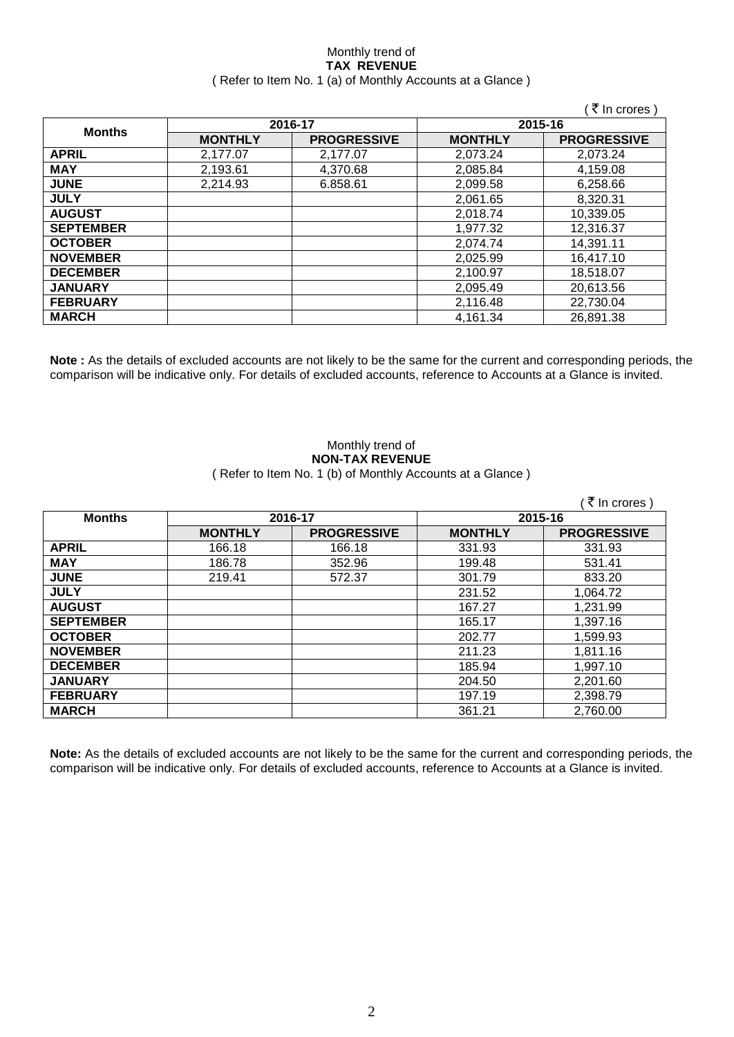## Monthly trend of **TAX REVENUE** ( Refer to Item No. 1 (a) of Monthly Accounts at a Glance )

|                  |                |                    |                | ∶ ₹ In crores)     |
|------------------|----------------|--------------------|----------------|--------------------|
|                  |                | 2016-17            |                | 2015-16            |
| <b>Months</b>    | <b>MONTHLY</b> | <b>PROGRESSIVE</b> | <b>MONTHLY</b> | <b>PROGRESSIVE</b> |
| <b>APRIL</b>     | 2,177.07       | 2,177.07           | 2,073.24       | 2,073.24           |
| <b>MAY</b>       | 2,193.61       | 4,370.68           | 2,085.84       | 4,159.08           |
| <b>JUNE</b>      | 2,214.93       | 6.858.61           | 2,099.58       | 6,258.66           |
| <b>JULY</b>      |                |                    | 2,061.65       | 8,320.31           |
| <b>AUGUST</b>    |                |                    | 2,018.74       | 10,339.05          |
| <b>SEPTEMBER</b> |                |                    | 1,977.32       | 12,316.37          |
| <b>OCTOBER</b>   |                |                    | 2,074.74       | 14,391.11          |
| <b>NOVEMBER</b>  |                |                    | 2,025.99       | 16,417.10          |
| <b>DECEMBER</b>  |                |                    | 2,100.97       | 18,518.07          |
| <b>JANUARY</b>   |                |                    | 2,095.49       | 20,613.56          |
| <b>FEBRUARY</b>  |                |                    | 2,116.48       | 22,730.04          |
| <b>MARCH</b>     |                |                    | 4,161.34       | 26,891.38          |

**Note :** As the details of excluded accounts are not likely to be the same for the current and corresponding periods, the comparison will be indicative only. For details of excluded accounts, reference to Accounts at a Glance is invited.

# Monthly trend of **NON-TAX REVENUE** ( Refer to Item No. 1 (b) of Monthly Accounts at a Glance )

|                  |                |                    |                | ∶ ₹ In crores)     |
|------------------|----------------|--------------------|----------------|--------------------|
| <b>Months</b>    |                | 2016-17            | 2015-16        |                    |
|                  | <b>MONTHLY</b> | <b>PROGRESSIVE</b> | <b>MONTHLY</b> | <b>PROGRESSIVE</b> |
| <b>APRIL</b>     | 166.18         | 166.18             | 331.93         | 331.93             |
| <b>MAY</b>       | 186.78         | 352.96             | 199.48         | 531.41             |
| <b>JUNE</b>      | 219.41         | 572.37             | 301.79         | 833.20             |
| <b>JULY</b>      |                |                    | 231.52         | 1,064.72           |
| <b>AUGUST</b>    |                |                    | 167.27         | 1,231.99           |
| <b>SEPTEMBER</b> |                |                    | 165.17         | 1,397.16           |
| <b>OCTOBER</b>   |                |                    | 202.77         | 1,599.93           |
| <b>NOVEMBER</b>  |                |                    | 211.23         | 1,811.16           |
| <b>DECEMBER</b>  |                |                    | 185.94         | 1,997.10           |
| <b>JANUARY</b>   |                |                    | 204.50         | 2,201.60           |
| <b>FEBRUARY</b>  |                |                    | 197.19         | 2,398.79           |
| <b>MARCH</b>     |                |                    | 361.21         | 2,760.00           |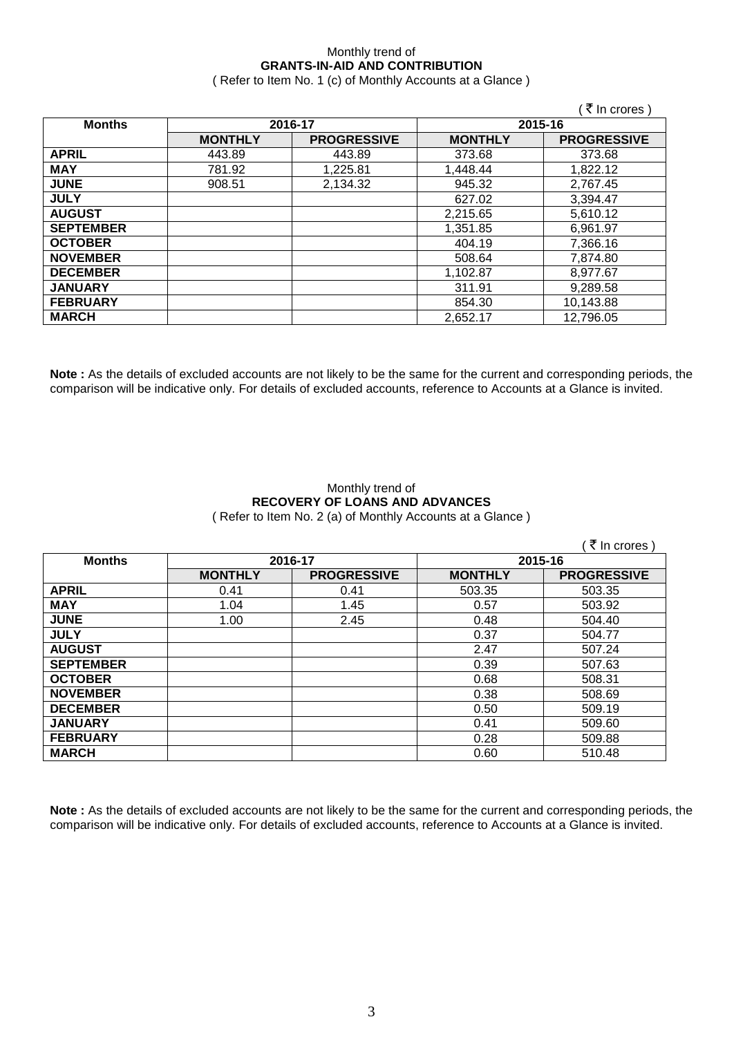# Monthly trend of **GRANTS-IN-AID AND CONTRIBUTION**

( Refer to Item No. 1 (c) of Monthly Accounts at a Glance )

|                  |                |                    |                | ( ₹ In crores )    |
|------------------|----------------|--------------------|----------------|--------------------|
| <b>Months</b>    |                | 2016-17            |                | 2015-16            |
|                  | <b>MONTHLY</b> | <b>PROGRESSIVE</b> | <b>MONTHLY</b> | <b>PROGRESSIVE</b> |
| <b>APRIL</b>     | 443.89         | 443.89             | 373.68         | 373.68             |
| <b>MAY</b>       | 781.92         | 1,225.81           | 1,448.44       | 1,822.12           |
| <b>JUNE</b>      | 908.51         | 2,134.32           | 945.32         | 2,767.45           |
| <b>JULY</b>      |                |                    | 627.02         | 3,394.47           |
| <b>AUGUST</b>    |                |                    | 2,215.65       | 5,610.12           |
| <b>SEPTEMBER</b> |                |                    | 1,351.85       | 6,961.97           |
| <b>OCTOBER</b>   |                |                    | 404.19         | 7,366.16           |
| <b>NOVEMBER</b>  |                |                    | 508.64         | 7,874.80           |
| <b>DECEMBER</b>  |                |                    | 1,102.87       | 8,977.67           |
| <b>JANUARY</b>   |                |                    | 311.91         | 9,289.58           |
| <b>FEBRUARY</b>  |                |                    | 854.30         | 10,143.88          |
| <b>MARCH</b>     |                |                    | 2,652.17       | 12,796.05          |

**Note :** As the details of excluded accounts are not likely to be the same for the current and corresponding periods, the comparison will be indicative only. For details of excluded accounts, reference to Accounts at a Glance is invited.

## Monthly trend of **RECOVERY OF LOANS AND ADVANCES** ( Refer to Item No. 2 (a) of Monthly Accounts at a Glance )

|                  |                |                    |                | (₹ In crores)      |
|------------------|----------------|--------------------|----------------|--------------------|
| <b>Months</b>    |                | 2016-17            | 2015-16        |                    |
|                  | <b>MONTHLY</b> | <b>PROGRESSIVE</b> | <b>MONTHLY</b> | <b>PROGRESSIVE</b> |
| <b>APRIL</b>     | 0.41           | 0.41               | 503.35         | 503.35             |
| <b>MAY</b>       | 1.04           | 1.45               | 0.57           | 503.92             |
| <b>JUNE</b>      | 1.00           | 2.45               | 0.48           | 504.40             |
| <b>JULY</b>      |                |                    | 0.37           | 504.77             |
| <b>AUGUST</b>    |                |                    | 2.47           | 507.24             |
| <b>SEPTEMBER</b> |                |                    | 0.39           | 507.63             |
| <b>OCTOBER</b>   |                |                    | 0.68           | 508.31             |
| <b>NOVEMBER</b>  |                |                    | 0.38           | 508.69             |
| <b>DECEMBER</b>  |                |                    | 0.50           | 509.19             |
| <b>JANUARY</b>   |                |                    | 0.41           | 509.60             |
| <b>FEBRUARY</b>  |                |                    | 0.28           | 509.88             |
| <b>MARCH</b>     |                |                    | 0.60           | 510.48             |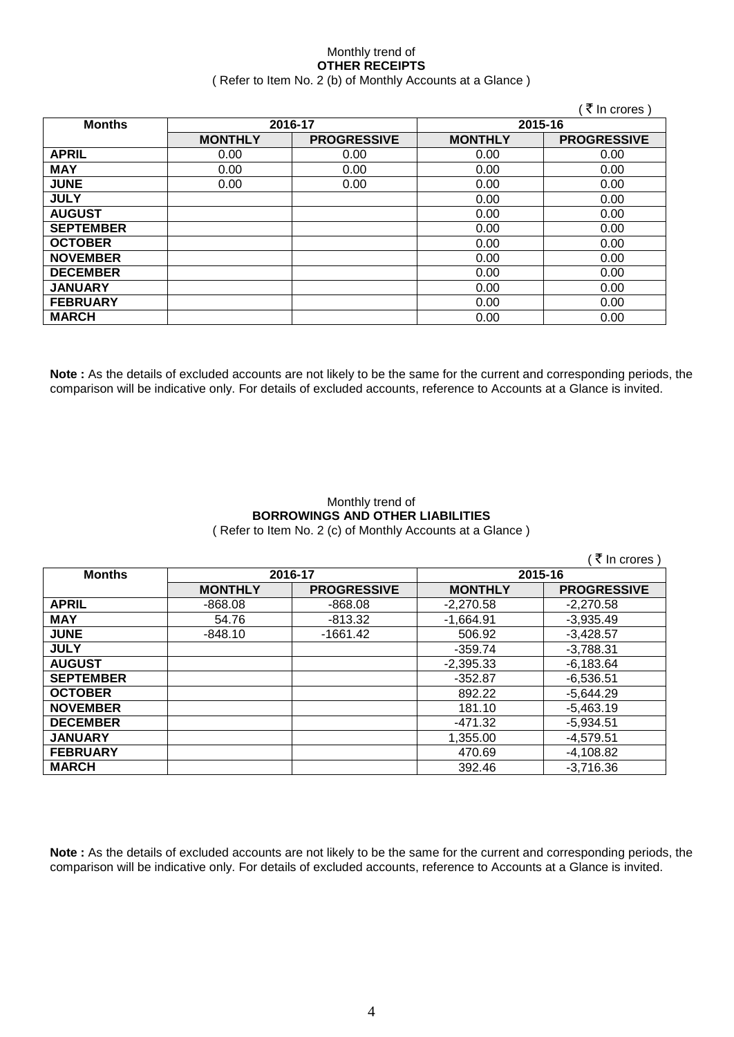# Monthly trend of **OTHER RECEIPTS** ( Refer to Item No. 2 (b) of Monthly Accounts at a Glance )

|                  |                |                    |                | (₹ In crores)      |
|------------------|----------------|--------------------|----------------|--------------------|
| <b>Months</b>    |                | 2016-17            | 2015-16        |                    |
|                  | <b>MONTHLY</b> | <b>PROGRESSIVE</b> | <b>MONTHLY</b> | <b>PROGRESSIVE</b> |
| <b>APRIL</b>     | 0.00           | 0.00               | 0.00           | 0.00               |
| <b>MAY</b>       | 0.00           | 0.00               | 0.00           | 0.00               |
| <b>JUNE</b>      | 0.00           | 0.00               | 0.00           | 0.00               |
| <b>JULY</b>      |                |                    | 0.00           | 0.00               |
| <b>AUGUST</b>    |                |                    | 0.00           | 0.00               |
| <b>SEPTEMBER</b> |                |                    | 0.00           | 0.00               |
| <b>OCTOBER</b>   |                |                    | 0.00           | 0.00               |
| <b>NOVEMBER</b>  |                |                    | 0.00           | 0.00               |
| <b>DECEMBER</b>  |                |                    | 0.00           | 0.00               |
| <b>JANUARY</b>   |                |                    | 0.00           | 0.00               |
| <b>FEBRUARY</b>  |                |                    | 0.00           | 0.00               |
| <b>MARCH</b>     |                |                    | 0.00           | 0.00               |

**Note :** As the details of excluded accounts are not likely to be the same for the current and corresponding periods, the comparison will be indicative only. For details of excluded accounts, reference to Accounts at a Glance is invited.

## Monthly trend of **BORROWINGS AND OTHER LIABILITIES** ( Refer to Item No. 2 (c) of Monthly Accounts at a Glance )

| <b>Months</b>    |                | 2016-17            |                | 2015-16            |
|------------------|----------------|--------------------|----------------|--------------------|
|                  | <b>MONTHLY</b> | <b>PROGRESSIVE</b> | <b>MONTHLY</b> | <b>PROGRESSIVE</b> |
| <b>APRIL</b>     | $-868.08$      | $-868.08$          | $-2,270.58$    | $-2,270.58$        |
| <b>MAY</b>       | 54.76          | $-813.32$          | $-1,664.91$    | $-3,935.49$        |
| <b>JUNE</b>      | $-848.10$      | -1661.42           | 506.92         | $-3,428.57$        |
| <b>JULY</b>      |                |                    | $-359.74$      | $-3,788.31$        |
| <b>AUGUST</b>    |                |                    | $-2,395.33$    | $-6,183.64$        |
| <b>SEPTEMBER</b> |                |                    | $-352.87$      | $-6,536.51$        |
| <b>OCTOBER</b>   |                |                    | 892.22         | $-5,644.29$        |
| <b>NOVEMBER</b>  |                |                    | 181.10         | $-5,463.19$        |
| <b>DECEMBER</b>  |                |                    | -471.32        | $-5,934.51$        |
| <b>JANUARY</b>   |                |                    | 1,355.00       | $-4,579.51$        |
| <b>FEBRUARY</b>  |                |                    | 470.69         | $-4,108.82$        |
| <b>MARCH</b>     |                |                    | 392.46         | $-3,716.36$        |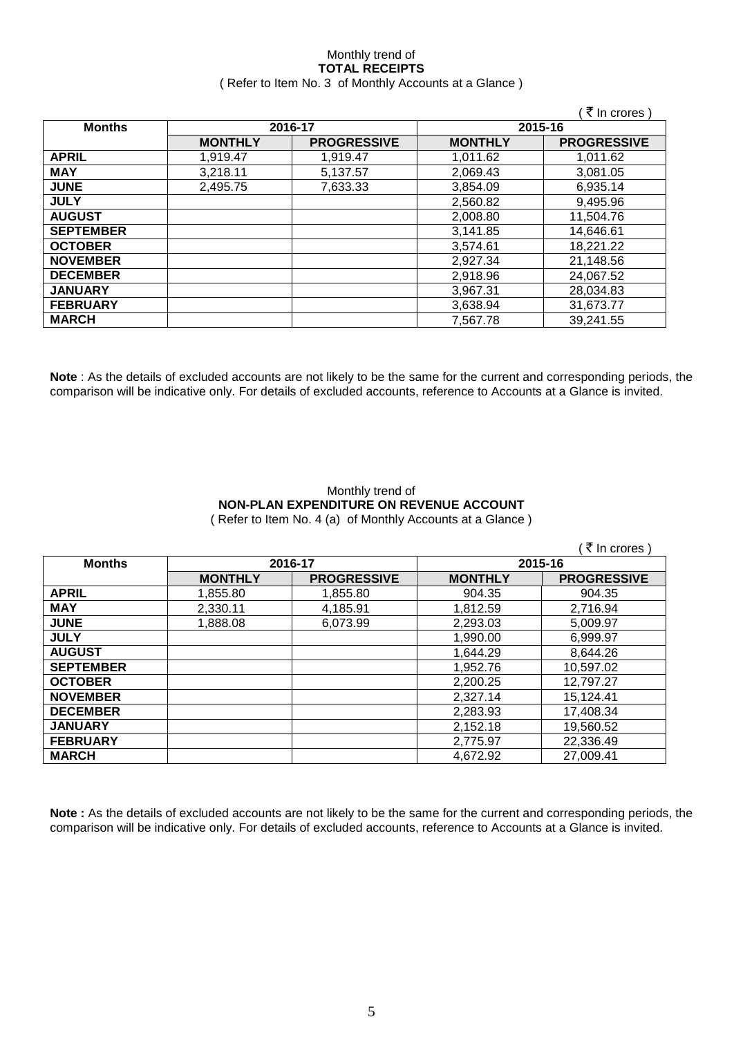## Monthly trend of **TOTAL RECEIPTS** ( Refer to Item No. 3 of Monthly Accounts at a Glance )

|                  |                |                    |                | ₹ In crores)       |
|------------------|----------------|--------------------|----------------|--------------------|
| <b>Months</b>    |                | 2016-17            | 2015-16        |                    |
|                  | <b>MONTHLY</b> | <b>PROGRESSIVE</b> | <b>MONTHLY</b> | <b>PROGRESSIVE</b> |
| <b>APRIL</b>     | 1,919.47       | 1,919.47           | 1,011.62       | 1,011.62           |
| <b>MAY</b>       | 3,218.11       | 5,137.57           | 2,069.43       | 3,081.05           |
| <b>JUNE</b>      | 2,495.75       | 7,633.33           | 3,854.09       | 6,935.14           |
| <b>JULY</b>      |                |                    | 2,560.82       | 9,495.96           |
| <b>AUGUST</b>    |                |                    | 2,008.80       | 11,504.76          |
| <b>SEPTEMBER</b> |                |                    | 3,141.85       | 14,646.61          |
| <b>OCTOBER</b>   |                |                    | 3,574.61       | 18,221.22          |
| <b>NOVEMBER</b>  |                |                    | 2,927.34       | 21,148.56          |
| <b>DECEMBER</b>  |                |                    | 2,918.96       | 24,067.52          |
| <b>JANUARY</b>   |                |                    | 3,967.31       | 28,034.83          |
| <b>FEBRUARY</b>  |                |                    | 3,638.94       | 31,673.77          |
| <b>MARCH</b>     |                |                    | 7,567.78       | 39,241.55          |

**Note** : As the details of excluded accounts are not likely to be the same for the current and corresponding periods, the comparison will be indicative only. For details of excluded accounts, reference to Accounts at a Glance is invited.

### Monthly trend of **NON-PLAN EXPENDITURE ON REVENUE ACCOUNT** ( Refer to Item No. 4 (a) of Monthly Accounts at a Glance )

|                  |                |                    |                | ₹ In crores)       |
|------------------|----------------|--------------------|----------------|--------------------|
| <b>Months</b>    | 2016-17        |                    |                | 2015-16            |
|                  | <b>MONTHLY</b> | <b>PROGRESSIVE</b> | <b>MONTHLY</b> | <b>PROGRESSIVE</b> |
| <b>APRIL</b>     | 1,855.80       | 1,855.80           | 904.35         | 904.35             |
| <b>MAY</b>       | 2,330.11       | 4,185.91           | 1,812.59       | 2,716.94           |
| <b>JUNE</b>      | 1.888.08       | 6,073.99           | 2,293.03       | 5,009.97           |
| <b>JULY</b>      |                |                    | 1,990.00       | 6,999.97           |
| <b>AUGUST</b>    |                |                    | 1,644.29       | 8,644.26           |
| <b>SEPTEMBER</b> |                |                    | 1,952.76       | 10,597.02          |
| <b>OCTOBER</b>   |                |                    | 2,200.25       | 12,797.27          |
| <b>NOVEMBER</b>  |                |                    | 2,327.14       | 15,124.41          |
| <b>DECEMBER</b>  |                |                    | 2,283.93       | 17,408.34          |
| <b>JANUARY</b>   |                |                    | 2,152.18       | 19,560.52          |
| <b>FEBRUARY</b>  |                |                    | 2,775.97       | 22,336.49          |
| <b>MARCH</b>     |                |                    | 4,672.92       | 27,009.41          |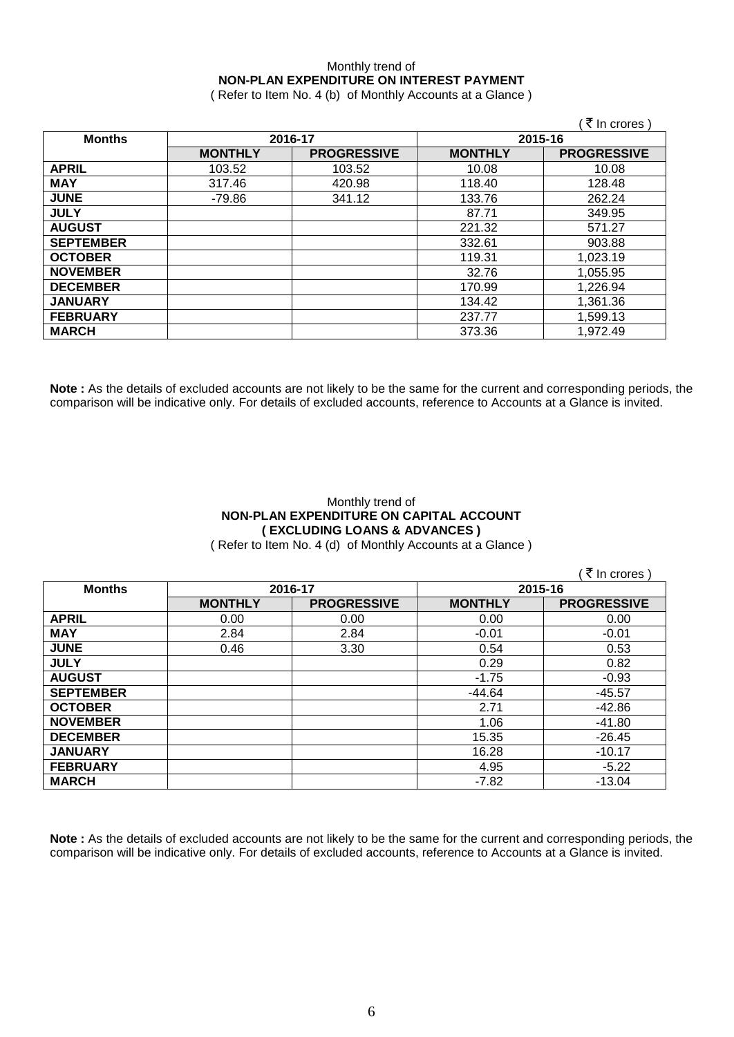# Monthly trend of **NON-PLAN EXPENDITURE ON INTEREST PAYMENT**

( Refer to Item No. 4 (b) of Monthly Accounts at a Glance )

| <b>Months</b>    | 2016-17        |                    | 2015-16        |                    |
|------------------|----------------|--------------------|----------------|--------------------|
|                  | <b>MONTHLY</b> | <b>PROGRESSIVE</b> | <b>MONTHLY</b> | <b>PROGRESSIVE</b> |
| <b>APRIL</b>     | 103.52         | 103.52             | 10.08          | 10.08              |
| <b>MAY</b>       | 317.46         | 420.98             | 118.40         | 128.48             |
| <b>JUNE</b>      | -79.86         | 341.12             | 133.76         | 262.24             |
| <b>JULY</b>      |                |                    | 87.71          | 349.95             |
| <b>AUGUST</b>    |                |                    | 221.32         | 571.27             |
| <b>SEPTEMBER</b> |                |                    | 332.61         | 903.88             |
| <b>OCTOBER</b>   |                |                    | 119.31         | 1,023.19           |
| <b>NOVEMBER</b>  |                |                    | 32.76          | 1,055.95           |
| <b>DECEMBER</b>  |                |                    | 170.99         | 1,226.94           |
| <b>JANUARY</b>   |                |                    | 134.42         | 1,361.36           |
| <b>FEBRUARY</b>  |                |                    | 237.77         | 1,599.13           |
| <b>MARCH</b>     |                |                    | 373.36         | 1,972.49           |

**Note :** As the details of excluded accounts are not likely to be the same for the current and corresponding periods, the comparison will be indicative only. For details of excluded accounts, reference to Accounts at a Glance is invited.

# Monthly trend of **NON-PLAN EXPENDITURE ON CAPITAL ACCOUNT ( EXCLUDING LOANS & ADVANCES )**

( Refer to Item No. 4 (d) of Monthly Accounts at a Glance )

 $($   $\bar{z}$  In crores )

| <b>Months</b>    |                | 2016-17            | 2015-16        |                    |  |
|------------------|----------------|--------------------|----------------|--------------------|--|
|                  | <b>MONTHLY</b> | <b>PROGRESSIVE</b> | <b>MONTHLY</b> | <b>PROGRESSIVE</b> |  |
| <b>APRIL</b>     | 0.00           | 0.00               | 0.00           | 0.00               |  |
| <b>MAY</b>       | 2.84           | 2.84               | $-0.01$        | $-0.01$            |  |
| <b>JUNE</b>      | 0.46           | 3.30               | 0.54           | 0.53               |  |
| <b>JULY</b>      |                |                    | 0.29           | 0.82               |  |
| <b>AUGUST</b>    |                |                    | $-1.75$        | $-0.93$            |  |
| <b>SEPTEMBER</b> |                |                    | $-44.64$       | $-45.57$           |  |
| <b>OCTOBER</b>   |                |                    | 2.71           | $-42.86$           |  |
| <b>NOVEMBER</b>  |                |                    | 1.06           | $-41.80$           |  |
| <b>DECEMBER</b>  |                |                    | 15.35          | $-26.45$           |  |
| <b>JANUARY</b>   |                |                    | 16.28          | $-10.17$           |  |
| <b>FEBRUARY</b>  |                |                    | 4.95           | $-5.22$            |  |
| <b>MARCH</b>     |                |                    | $-7.82$        | $-13.04$           |  |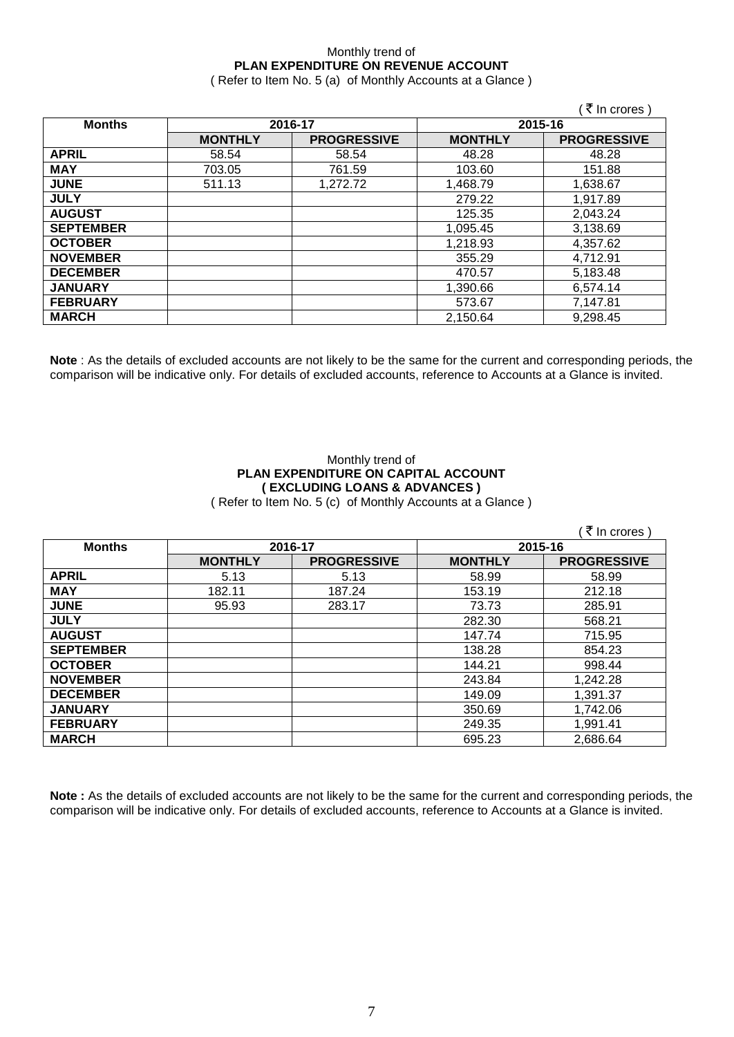# Monthly trend of **PLAN EXPENDITURE ON REVENUE ACCOUNT**

( Refer to Item No. 5 (a) of Monthly Accounts at a Glance )

|                  |                |                    |                | (₹ In crores)      |
|------------------|----------------|--------------------|----------------|--------------------|
| <b>Months</b>    | 2016-17        |                    | 2015-16        |                    |
|                  | <b>MONTHLY</b> | <b>PROGRESSIVE</b> | <b>MONTHLY</b> | <b>PROGRESSIVE</b> |
| <b>APRIL</b>     | 58.54          | 58.54              | 48.28          | 48.28              |
| <b>MAY</b>       | 703.05         | 761.59             | 103.60         | 151.88             |
| <b>JUNE</b>      | 511.13         | 1,272.72           | 1,468.79       | 1,638.67           |
| <b>JULY</b>      |                |                    | 279.22         | 1,917.89           |
| <b>AUGUST</b>    |                |                    | 125.35         | 2,043.24           |
| <b>SEPTEMBER</b> |                |                    | 1,095.45       | 3,138.69           |
| <b>OCTOBER</b>   |                |                    | 1,218.93       | 4,357.62           |
| <b>NOVEMBER</b>  |                |                    | 355.29         | 4,712.91           |
| <b>DECEMBER</b>  |                |                    | 470.57         | 5,183.48           |
| <b>JANUARY</b>   |                |                    | 1,390.66       | 6,574.14           |
| <b>FEBRUARY</b>  |                |                    | 573.67         | 7,147.81           |
| <b>MARCH</b>     |                |                    | 2,150.64       | 9,298.45           |

**Note** : As the details of excluded accounts are not likely to be the same for the current and corresponding periods, the comparison will be indicative only. For details of excluded accounts, reference to Accounts at a Glance is invited.

### Monthly trend of **PLAN EXPENDITURE ON CAPITAL ACCOUNT ( EXCLUDING LOANS & ADVANCES )** ( Refer to Item No. 5 (c) of Monthly Accounts at a Glance )

 $($  ₹ In crores  $)$ **Months 2016-17 2015-16 MONTHLY PROGRESSIVE MONTHLY PROGRESSIVE APRIL** 5.13 5.13 58.99 58.99 **MAY** | 182.11 | 187.24 | 153.19 | 212.18 **JUNE** 95.93 283.17 73.73 285.91 **JULY** 282.30 568.21 **AUGUST** 147.74 715.95 **SEPTEMBER** 138.28 854.23<br> **OCTOBER** 144.21 998.44 **OCTOBER** 144.21 998.44 **NOVEMBER** 1,242.28 **DECEMBER** 149.09 1,391.37<br> **JANUARY** 350.69 1,742.06 **JANUARY** 350.69 1,742.06 **FEBRUARY** | 249.35 | 1,991.41 **MARCH** 695.23 2,686.64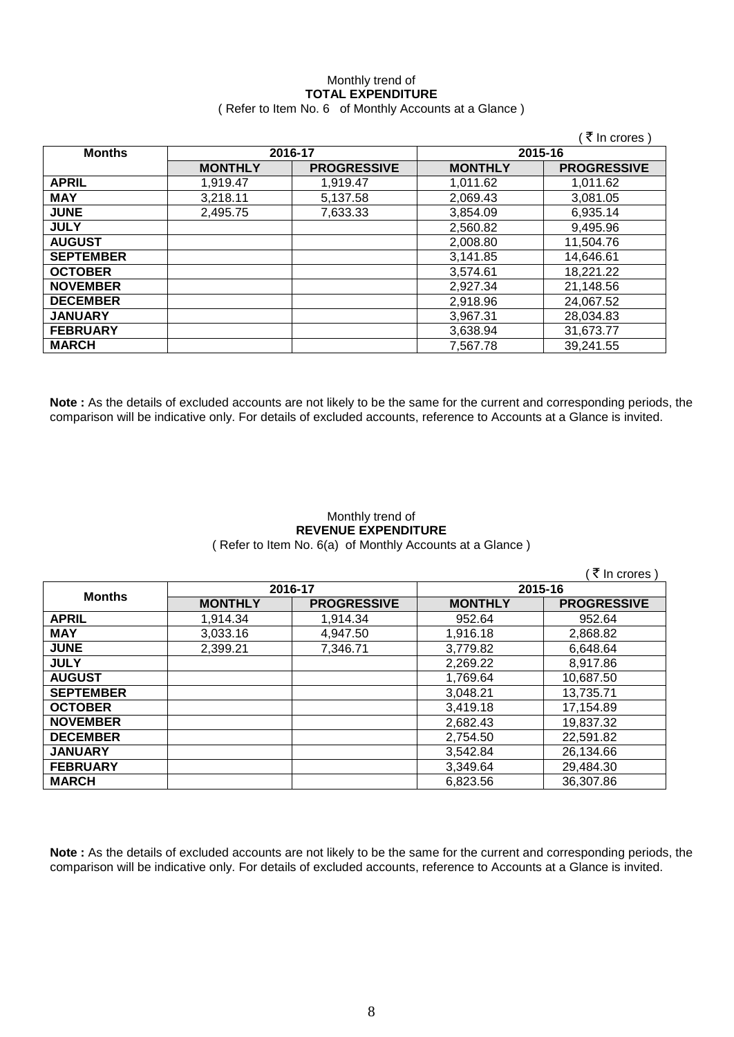## Monthly trend of **TOTAL EXPENDITURE** ( Refer to Item No. 6 of Monthly Accounts at a Glance )

|                  |                |                    |                | (₹ In crores)      |
|------------------|----------------|--------------------|----------------|--------------------|
| <b>Months</b>    | 2016-17        |                    | 2015-16        |                    |
|                  | <b>MONTHLY</b> | <b>PROGRESSIVE</b> | <b>MONTHLY</b> | <b>PROGRESSIVE</b> |
| <b>APRIL</b>     | 1,919.47       | 1,919.47           | 1,011.62       | 1,011.62           |
| <b>MAY</b>       | 3,218.11       | 5,137.58           | 2,069.43       | 3,081.05           |
| <b>JUNE</b>      | 2,495.75       | 7,633.33           | 3.854.09       | 6,935.14           |
| <b>JULY</b>      |                |                    | 2,560.82       | 9,495.96           |
| <b>AUGUST</b>    |                |                    | 2,008.80       | 11,504.76          |
| <b>SEPTEMBER</b> |                |                    | 3,141.85       | 14,646.61          |
| <b>OCTOBER</b>   |                |                    | 3,574.61       | 18,221.22          |
| <b>NOVEMBER</b>  |                |                    | 2,927.34       | 21,148.56          |
| <b>DECEMBER</b>  |                |                    | 2,918.96       | 24,067.52          |
| <b>JANUARY</b>   |                |                    | 3,967.31       | 28,034.83          |
| <b>FEBRUARY</b>  |                |                    | 3,638.94       | 31,673.77          |
| <b>MARCH</b>     |                |                    | 7,567.78       | 39,241.55          |

**Note :** As the details of excluded accounts are not likely to be the same for the current and corresponding periods, the comparison will be indicative only. For details of excluded accounts, reference to Accounts at a Glance is invited.

### Monthly trend of **REVENUE EXPENDITURE** ( Refer to Item No. 6(a) of Monthly Accounts at a Glance )

 $($   $\overline{\mathfrak{F}}$  In crores )

| <b>Months</b>    | 2016-17        |                    | 2015-16        |                    |
|------------------|----------------|--------------------|----------------|--------------------|
|                  | <b>MONTHLY</b> | <b>PROGRESSIVE</b> | <b>MONTHLY</b> | <b>PROGRESSIVE</b> |
| <b>APRIL</b>     | 1,914.34       | 1,914.34           | 952.64         | 952.64             |
| <b>MAY</b>       | 3,033.16       | 4,947.50           | 1,916.18       | 2,868.82           |
| <b>JUNE</b>      | 2,399.21       | 7,346.71           | 3,779.82       | 6,648.64           |
| <b>JULY</b>      |                |                    | 2,269.22       | 8,917.86           |
| <b>AUGUST</b>    |                |                    | 1,769.64       | 10,687.50          |
| <b>SEPTEMBER</b> |                |                    | 3,048.21       | 13,735.71          |
| <b>OCTOBER</b>   |                |                    | 3,419.18       | 17,154.89          |
| <b>NOVEMBER</b>  |                |                    | 2,682.43       | 19,837.32          |
| <b>DECEMBER</b>  |                |                    | 2,754.50       | 22,591.82          |
| <b>JANUARY</b>   |                |                    | 3.542.84       | 26,134.66          |
| <b>FEBRUARY</b>  |                |                    | 3,349.64       | 29,484.30          |
| <b>MARCH</b>     |                |                    | 6,823.56       | 36,307.86          |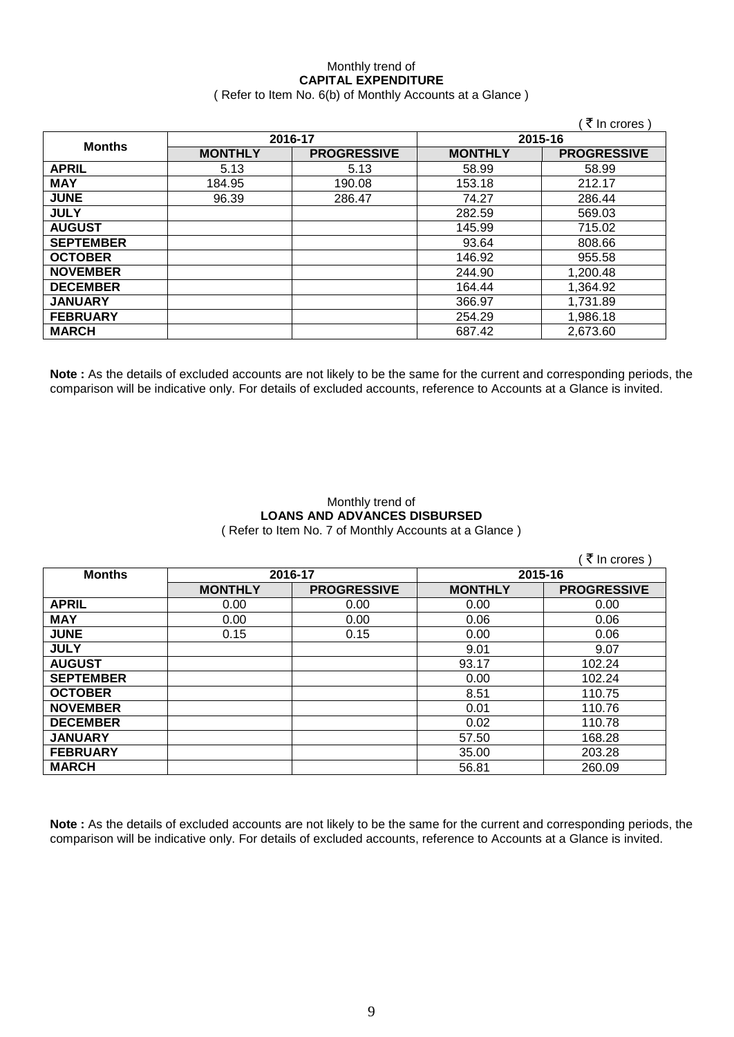# Monthly trend of **CAPITAL EXPENDITURE**  ( Refer to Item No. 6(b) of Monthly Accounts at a Glance )

|                  |                |                    |                | ∶ ₹ In crores)     |
|------------------|----------------|--------------------|----------------|--------------------|
| <b>Months</b>    | 2016-17        |                    | 2015-16        |                    |
|                  | <b>MONTHLY</b> | <b>PROGRESSIVE</b> | <b>MONTHLY</b> | <b>PROGRESSIVE</b> |
| <b>APRIL</b>     | 5.13           | 5.13               | 58.99          | 58.99              |
| <b>MAY</b>       | 184.95         | 190.08             | 153.18         | 212.17             |
| <b>JUNE</b>      | 96.39          | 286.47             | 74.27          | 286.44             |
| <b>JULY</b>      |                |                    | 282.59         | 569.03             |
| <b>AUGUST</b>    |                |                    | 145.99         | 715.02             |
| <b>SEPTEMBER</b> |                |                    | 93.64          | 808.66             |
| <b>OCTOBER</b>   |                |                    | 146.92         | 955.58             |
| <b>NOVEMBER</b>  |                |                    | 244.90         | 1,200.48           |
| <b>DECEMBER</b>  |                |                    | 164.44         | 1,364.92           |
| <b>JANUARY</b>   |                |                    | 366.97         | 1,731.89           |
| <b>FEBRUARY</b>  |                |                    | 254.29         | 1,986.18           |
| <b>MARCH</b>     |                |                    | 687.42         | 2,673.60           |

**Note :** As the details of excluded accounts are not likely to be the same for the current and corresponding periods, the comparison will be indicative only. For details of excluded accounts, reference to Accounts at a Glance is invited.

## Monthly trend of **LOANS AND ADVANCES DISBURSED** ( Refer to Item No. 7 of Monthly Accounts at a Glance )

|                  |                |                    |                | ़ ₹ In crores )    |
|------------------|----------------|--------------------|----------------|--------------------|
| <b>Months</b>    | 2016-17        |                    | 2015-16        |                    |
|                  | <b>MONTHLY</b> | <b>PROGRESSIVE</b> | <b>MONTHLY</b> | <b>PROGRESSIVE</b> |
| <b>APRIL</b>     | 0.00           | 0.00               | 0.00           | 0.00               |
| <b>MAY</b>       | 0.00           | 0.00               | 0.06           | 0.06               |
| <b>JUNE</b>      | 0.15           | 0.15               | 0.00           | 0.06               |
| <b>JULY</b>      |                |                    | 9.01           | 9.07               |
| <b>AUGUST</b>    |                |                    | 93.17          | 102.24             |
| <b>SEPTEMBER</b> |                |                    | 0.00           | 102.24             |
| <b>OCTOBER</b>   |                |                    | 8.51           | 110.75             |
| <b>NOVEMBER</b>  |                |                    | 0.01           | 110.76             |
| <b>DECEMBER</b>  |                |                    | 0.02           | 110.78             |
| <b>JANUARY</b>   |                |                    | 57.50          | 168.28             |
| <b>FEBRUARY</b>  |                |                    | 35.00          | 203.28             |
| <b>MARCH</b>     |                |                    | 56.81          | 260.09             |